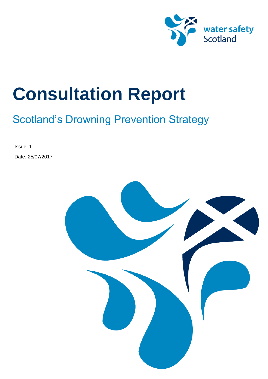

# Scotland's Drowning Prevention Strategy

Issue: 1 Date: 25/07/2017

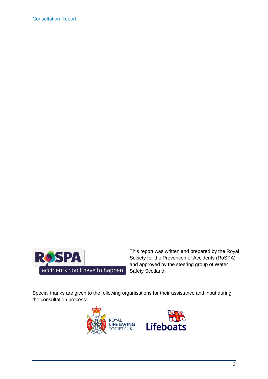

This report was written and prepared by the Royal Society for the Prevention of Accidents (RoSPA) and approved by the steering group of Water Safety Scotland.

Special thanks are given to the following organisations for their assistance and input during the consultation process:

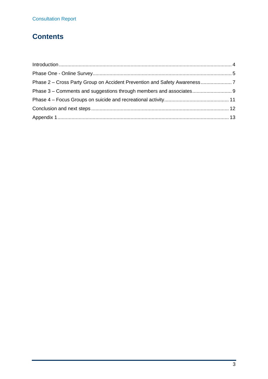# **Contents**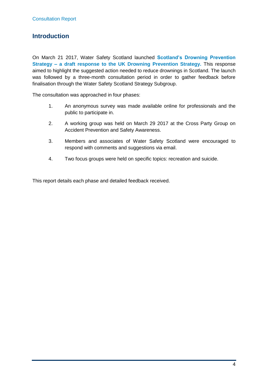#### <span id="page-3-0"></span>**Introduction**

On March 21 2017, Water Safety Scotland launched **Scotland's Drowning Prevention Strategy – a draft response to the UK Drowning Prevention Strategy.** This response aimed to highlight the suggested action needed to reduce drownings in Scotland. The launch was followed by a three-month consultation period in order to gather feedback before finalisation through the Water Safety Scotland Strategy Subgroup.

The consultation was approached in four phases:

- 1. An anonymous survey was made available online for professionals and the public to participate in.
- 2. A working group was held on March 29 2017 at the Cross Party Group on Accident Prevention and Safety Awareness.
- 3. Members and associates of Water Safety Scotland were encouraged to respond with comments and suggestions via email.
- 4. Two focus groups were held on specific topics: recreation and suicide.

This report details each phase and detailed feedback received.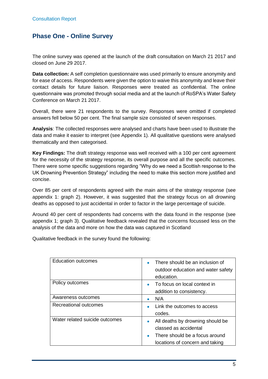#### <span id="page-4-0"></span>**Phase One - Online Survey**

The online survey was opened at the launch of the draft consultation on March 21 2017 and closed on June 29 2017.

**Data collection:** A self completion questionnaire was used primarily to ensure anonymity and for ease of access. Respondents were given the option to waive this anonymity and leave their contact details for future liaison. Responses were treated as confidential. The online questionnaire was promoted through social media and at the launch of RoSPA's Water Safety Conference on March 21 2017.

Overall, there were 21 respondents to the survey. Responses were omitted if completed answers fell below 50 per cent. The final sample size consisted of seven responses.

**Analysis**: The collected responses were analysed and charts have been used to illustrate the data and make it easier to interpret (see Appendix 1). All qualitative questions were analysed thematically and then categorised.

**Key Findings:** The draft strategy response was well received with a 100 per cent agreement for the necessity of the strategy response, its overall purpose and all the specific outcomes. There were some specific suggestions regarding "Why do we need a Scottish response to the UK Drowning Prevention Strategy" including the need to make this section more justified and concise.

Over 85 per cent of respondents agreed with the main aims of the strategy response (see appendix 1: graph 2). However, it was suggested that the strategy focus on all drowning deaths as opposed to just accidental in order to factor in the large percentage of suicide.

Around 40 per cent of respondents had concerns with the data found in the response (see appendix 1; graph 3). Qualitative feedback revealed that the concerns focussed less on the analysis of the data and more on how the data was captured in Scotland

Qualitative feedback in the survey found the following:

| <b>Education outcomes</b>      | There should be an inclusion of<br>outdoor education and water safety<br>education.                                                              |
|--------------------------------|--------------------------------------------------------------------------------------------------------------------------------------------------|
| Policy outcomes                | To focus on local context in<br>addition to consistency.                                                                                         |
| Awareness outcomes             | N/A                                                                                                                                              |
| Recreational outcomes          | Link the outcomes to access<br>codes.                                                                                                            |
| Water related suicide outcomes | All deaths by drowning should be<br>$\bullet$<br>classed as accidental<br>There should be a focus around<br>٠<br>locations of concern and taking |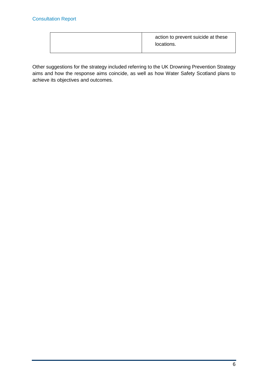|  | action to prevent suicide at these<br>locations. |
|--|--------------------------------------------------|
|--|--------------------------------------------------|

Other suggestions for the strategy included referring to the UK Drowning Prevention Strategy aims and how the response aims coincide, as well as how Water Safety Scotland plans to achieve its objectives and outcomes.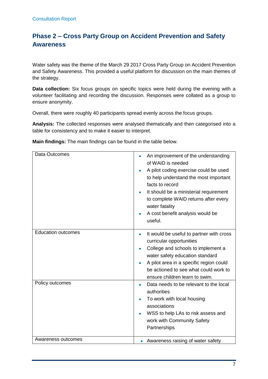### <span id="page-6-0"></span>**Phase 2 – Cross Party Group on Accident Prevention and Safety Awareness**

Water safety was the theme of the March 29 2017 Cross Party Group on Accident Prevention and Safety Awareness. This provided a useful platform for discussion on the main themes of the strategy.

**Data collection:** Six focus groups on specific topics were held during the evening with a volunteer facilitating and recording the discussion. Responses were collated as a group to ensure anonymity.

Overall, there were roughly 40 participants spread evenly across the focus groups.

**Analysis:** The collected responses were analysed thematically and then categorised into a table for consistency and to make it easier to interpret.

**Main findings:** The main findings can be found in the table below.

| Data Outcomes             | An improvement of the understanding<br>of WAID is needed<br>A pilot coding exercise could be used<br>to help understand the most important<br>facts to record<br>It should be a ministerial requirement<br>to complete WAID returns after every<br>water fatality<br>A cost benefit analysis would be<br>useful. |
|---------------------------|------------------------------------------------------------------------------------------------------------------------------------------------------------------------------------------------------------------------------------------------------------------------------------------------------------------|
| <b>Education outcomes</b> | It would be useful to partner with cross<br>٠<br>curricular opportunities<br>College and schools to implement a<br>water safety education standard<br>A pilot area in a specific region could<br>be actioned to see what could work to<br>ensure children learn to swim.                                         |
| Policy outcomes           | Data needs to be relevant to the local<br>authorities<br>To work with local housing<br>associations<br>WSS to help LAs to risk assess and<br>work with Community Safety<br>Partnerships                                                                                                                          |
| Awareness outcomes        | Awareness raising of water safety                                                                                                                                                                                                                                                                                |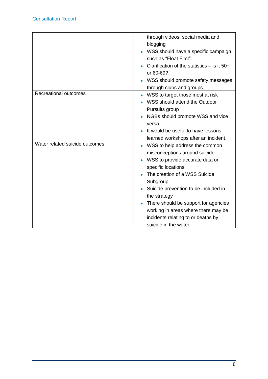|                                | through videos, social media and<br>blogging<br>WSS should have a specific campaign<br>such as "Float First"<br>Clarification of the statistics $-$ is it 50+<br>or 60-69?<br>WSS should promote safety messages<br>through clubs and groups.                                                                                                                               |
|--------------------------------|-----------------------------------------------------------------------------------------------------------------------------------------------------------------------------------------------------------------------------------------------------------------------------------------------------------------------------------------------------------------------------|
| <b>Recreational outcomes</b>   | WSS to target those most at risk<br>WSS should attend the Outdoor<br>Pursuits group<br>NGBs should promote WSS and vice<br>versa<br>It would be useful to have lessons<br>learned workshops after an incident.                                                                                                                                                              |
| Water related suicide outcomes | WSS to help address the common<br>misconceptions around suicide<br>WSS to provide accurate data on<br>specific locations<br>The creation of a WSS Suicide<br>Subgroup<br>Suicide prevention to be included in<br>the strategy<br>There should be support for agencies<br>working in areas where there may be<br>incidents relating to or deaths by<br>suicide in the water. |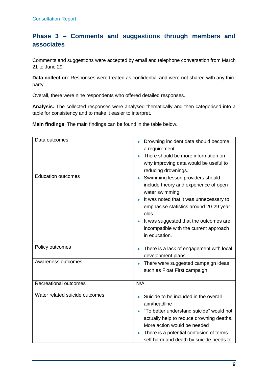#### <span id="page-8-0"></span>**Phase 3 – Comments and suggestions through members and associates**

Comments and suggestions were accepted by email and telephone conversation from March 21 to June 29.

**Data collection**: Responses were treated as confidential and were not shared with any third party.

Overall, there were nine respondents who offered detailed responses.

**Analysis:** The collected responses were analysed thematically and then categorised into a table for consistency and to make it easier to interpret.

**Main findings**: The main findings can be found in the table below.

| Data outcomes                  | Drowning incident data should become<br>a requirement<br>There should be more information on<br>why improving data would be useful to<br>reducing drownings.                                                                                                                                  |
|--------------------------------|-----------------------------------------------------------------------------------------------------------------------------------------------------------------------------------------------------------------------------------------------------------------------------------------------|
| <b>Education outcomes</b>      | Swimming lesson providers should<br>include theory and experience of open<br>water swimming<br>It was noted that it was unnecessary to<br>emphasise statistics around 20-29 year<br>olds<br>It was suggested that the outcomes are<br>incompatible with the current approach<br>in education. |
| Policy outcomes                | There is a lack of engagement with local<br>development plans.                                                                                                                                                                                                                                |
| Awareness outcomes             | There were suggested campaign ideas<br>$\bullet$<br>such as Float First campaign.                                                                                                                                                                                                             |
| Recreational outcomes          | N/A                                                                                                                                                                                                                                                                                           |
| Water related suicide outcomes | Suicide to be included in the overall<br>aim/headline<br>"To better understand suicide" would not<br>actually help to reduce drowning deaths.<br>More action would be needed<br>There is a potential confusion of terms -<br>self harm and death by suicide needs to                          |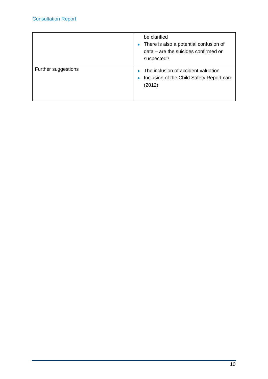|                     | be clarified<br>There is also a potential confusion of<br>$\bullet$<br>data – are the suicides confirmed or<br>suspected? |
|---------------------|---------------------------------------------------------------------------------------------------------------------------|
| Further suggestions | The inclusion of accident valuation<br>Inclusion of the Child Safety Report card<br>$\bullet$<br>(2012).                  |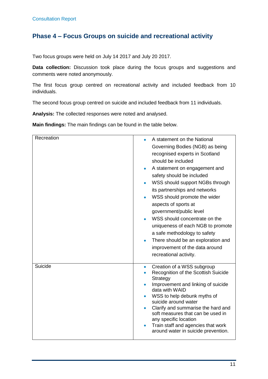#### <span id="page-10-0"></span>**Phase 4 – Focus Groups on suicide and recreational activity**

Two focus groups were held on July 14 2017 and July 20 2017.

**Data collection:** Discussion took place during the focus groups and suggestions and comments were noted anonymously.

The first focus group centred on recreational activity and included feedback from 10 individuals.

The second focus group centred on suicide and included feedback from 11 individuals.

**Analysis:** The collected responses were noted and analysed.

**Main findings:** The main findings can be found in the table below.

| Recreation | A statement on the National<br>Governing Bodies (NGB) as being<br>recognised experts in Scotland<br>should be included<br>A statement on engagement and<br>$\bullet$<br>safety should be included<br>WSS should support NGBs through<br>its partnerships and networks<br>WSS should promote the wider<br>aspects of sports at<br>government/public level<br>WSS should concentrate on the<br>uniqueness of each NGB to promote<br>a safe methodology to safety<br>There should be an exploration and<br>improvement of the data around<br>recreational activity. |
|------------|------------------------------------------------------------------------------------------------------------------------------------------------------------------------------------------------------------------------------------------------------------------------------------------------------------------------------------------------------------------------------------------------------------------------------------------------------------------------------------------------------------------------------------------------------------------|
| Suicide    | Creation of a WSS subgroup<br>$\bullet$<br>Recognition of the Scottish Suicide<br>Strategy<br>Improvement and linking of suicide<br>data with WAID<br>WSS to help debunk myths of<br>suicide around water<br>Clarify and summarise the hard and<br>$\bullet$<br>soft measures that can be used in<br>any specific location<br>Train staff and agencies that work<br>around water in suicide prevention.                                                                                                                                                          |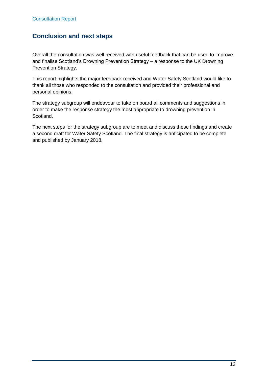#### <span id="page-11-0"></span>**Conclusion and next steps**

Overall the consultation was well received with useful feedback that can be used to improve and finalise Scotland's Drowning Prevention Strategy – a response to the UK Drowning Prevention Strategy.

This report highlights the major feedback received and Water Safety Scotland would like to thank all those who responded to the consultation and provided their professional and personal opinions.

The strategy subgroup will endeavour to take on board all comments and suggestions in order to make the response strategy the most appropriate to drowning prevention in Scotland.

The next steps for the strategy subgroup are to meet and discuss these findings and create a second draft for Water Safety Scotland. The final strategy is anticipated to be complete and published by January 2018.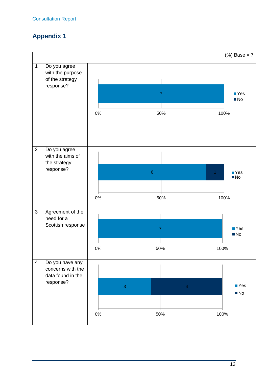## <span id="page-12-0"></span>**Appendix 1**

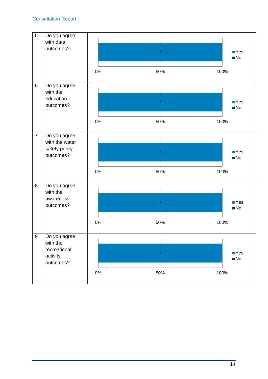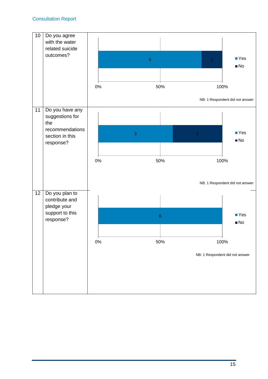